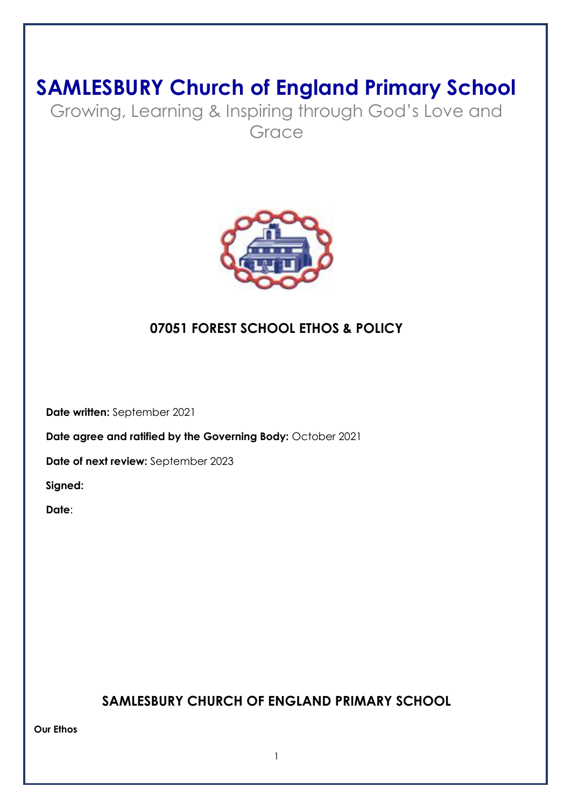# **SAMLESBURY Church of England Primary School**

Growing, Learning & Inspiring through God's Love and Grace



# **07051 FOREST SCHOOL ETHOS & POLICY**

 **Date written:** September 2021

**Date agree and ratified by the Governing Body: October 2021** 

 **Date of next review:** September 2023

 **Signed:** 

 **Date**:

# **SAMLESBURY CHURCH OF ENGLAND PRIMARY SCHOOL**

**Our Ethos**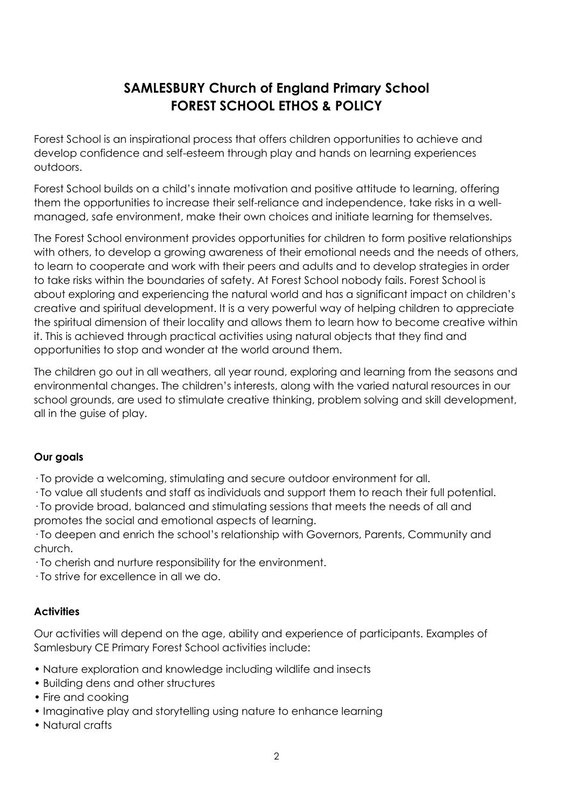# **SAMLESBURY Church of England Primary School FOREST SCHOOL ETHOS & POLICY**

Forest School is an inspirational process that offers children opportunities to achieve and develop confidence and self-esteem through play and hands on learning experiences outdoors.

Forest School builds on a child's innate motivation and positive attitude to learning, offering them the opportunities to increase their self-reliance and independence, take risks in a wellmanaged, safe environment, make their own choices and initiate learning for themselves.

The Forest School environment provides opportunities for children to form positive relationships with others, to develop a growing awareness of their emotional needs and the needs of others, to learn to cooperate and work with their peers and adults and to develop strategies in order to take risks within the boundaries of safety. At Forest School nobody fails. Forest School is about exploring and experiencing the natural world and has a significant impact on children's creative and spiritual development. It is a very powerful way of helping children to appreciate the spiritual dimension of their locality and allows them to learn how to become creative within it. This is achieved through practical activities using natural objects that they find and opportunities to stop and wonder at the world around them.

The children go out in all weathers, all year round, exploring and learning from the seasons and environmental changes. The children's interests, along with the varied natural resources in our school grounds, are used to stimulate creative thinking, problem solving and skill development, all in the guise of play.

# **Our goals**

· To provide a welcoming, stimulating and secure outdoor environment for all.

· To value all students and staff as individuals and support them to reach their full potential.

· To provide broad, balanced and stimulating sessions that meets the needs of all and promotes the social and emotional aspects of learning.

· To deepen and enrich the school's relationship with Governors, Parents, Community and church.

· To cherish and nurture responsibility for the environment.

· To strive for excellence in all we do.

# **Activities**

Our activities will depend on the age, ability and experience of participants. Examples of Samlesbury CE Primary Forest School activities include:

- Nature exploration and knowledge including wildlife and insects
- Building dens and other structures
- Fire and cooking
- Imaginative play and storytelling using nature to enhance learning
- Natural crafts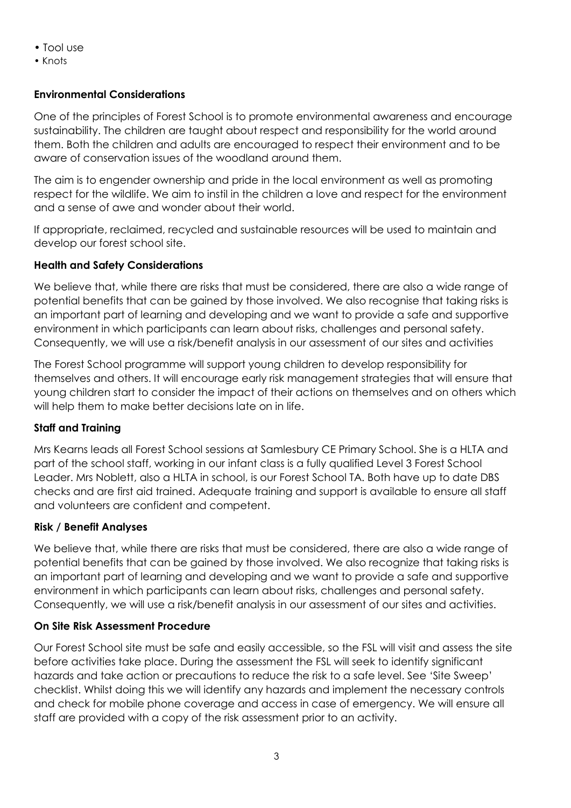- Tool use
- Knots

# **Environmental Considerations**

One of the principles of Forest School is to promote environmental awareness and encourage sustainability. The children are taught about respect and responsibility for the world around them. Both the children and adults are encouraged to respect their environment and to be aware of conservation issues of the woodland around them.

The aim is to engender ownership and pride in the local environment as well as promoting respect for the wildlife. We aim to instil in the children a love and respect for the environment and a sense of awe and wonder about their world.

If appropriate, reclaimed, recycled and sustainable resources will be used to maintain and develop our forest school site.

# **Health and Safety Considerations**

We believe that, while there are risks that must be considered, there are also a wide range of potential benefits that can be gained by those involved. We also recognise that taking risks is an important part of learning and developing and we want to provide a safe and supportive environment in which participants can learn about risks, challenges and personal safety. Consequently, we will use a risk/benefit analysis in our assessment of our sites and activities

The Forest School programme will support young children to develop responsibility for themselves and others. It will encourage early risk management strategies that will ensure that young children start to consider the impact of their actions on themselves and on others which will help them to make better decisions late on in life.

# **Staff and Training**

Mrs Kearns leads all Forest School sessions at Samlesbury CE Primary School. She is a HLTA and part of the school staff, working in our infant class is a fully qualified Level 3 Forest School Leader. Mrs Noblett, also a HLTA in school, is our Forest School TA. Both have up to date DBS checks and are first aid trained. Adequate training and support is available to ensure all staff and volunteers are confident and competent.

# **Risk / Benefit Analyses**

We believe that, while there are risks that must be considered, there are also a wide range of potential benefits that can be gained by those involved. We also recognize that taking risks is an important part of learning and developing and we want to provide a safe and supportive environment in which participants can learn about risks, challenges and personal safety. Consequently, we will use a risk/benefit analysis in our assessment of our sites and activities.

# **On Site Risk Assessment Procedure**

Our Forest School site must be safe and easily accessible, so the FSL will visit and assess the site before activities take place. During the assessment the FSL will seek to identify significant hazards and take action or precautions to reduce the risk to a safe level. See 'Site Sweep' checklist. Whilst doing this we will identify any hazards and implement the necessary controls and check for mobile phone coverage and access in case of emergency. We will ensure all staff are provided with a copy of the risk assessment prior to an activity.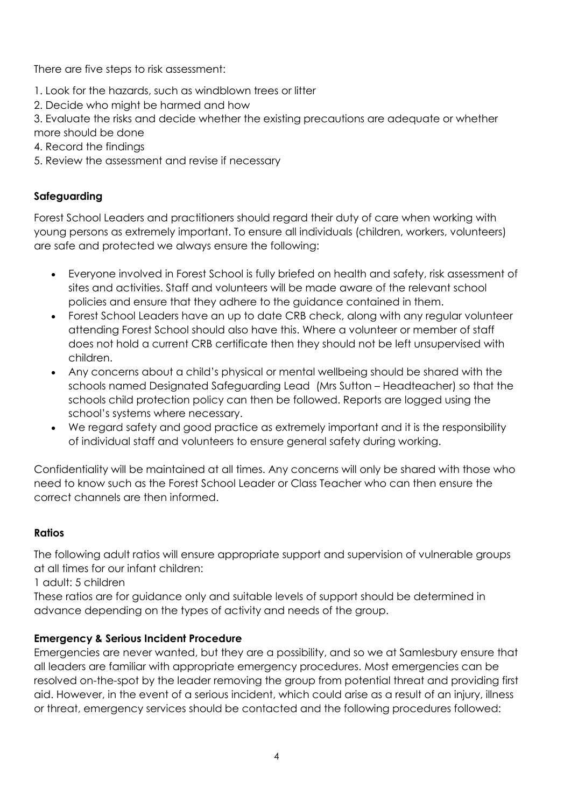There are five steps to risk assessment:

- 1. Look for the hazards, such as windblown trees or litter
- 2. Decide who might be harmed and how

3. Evaluate the risks and decide whether the existing precautions are adequate or whether more should be done

- 4. Record the findings
- 5. Review the assessment and revise if necessary

# **Safeguarding**

Forest School Leaders and practitioners should regard their duty of care when working with young persons as extremely important. To ensure all individuals (children, workers, volunteers) are safe and protected we always ensure the following:

- Everyone involved in Forest School is fully briefed on health and safety, risk assessment of sites and activities. Staff and volunteers will be made aware of the relevant school policies and ensure that they adhere to the guidance contained in them.
- Forest School Leaders have an up to date CRB check, along with any regular volunteer attending Forest School should also have this. Where a volunteer or member of staff does not hold a current CRB certificate then they should not be left unsupervised with children.
- Any concerns about a child's physical or mental wellbeing should be shared with the schools named Designated Safeguarding Lead (Mrs Sutton – Headteacher) so that the schools child protection policy can then be followed. Reports are logged using the school's systems where necessary.
- We regard safety and good practice as extremely important and it is the responsibility of individual staff and volunteers to ensure general safety during working.

Confidentiality will be maintained at all times. Any concerns will only be shared with those who need to know such as the Forest School Leader or Class Teacher who can then ensure the correct channels are then informed.

# **Ratios**

The following adult ratios will ensure appropriate support and supervision of vulnerable groups at all times for our infant children:

1 adult: 5 children

These ratios are for guidance only and suitable levels of support should be determined in advance depending on the types of activity and needs of the group.

# **Emergency & Serious Incident Procedure**

Emergencies are never wanted, but they are a possibility, and so we at Samlesbury ensure that all leaders are familiar with appropriate emergency procedures. Most emergencies can be resolved on-the-spot by the leader removing the group from potential threat and providing first aid. However, in the event of a serious incident, which could arise as a result of an injury, illness or threat, emergency services should be contacted and the following procedures followed: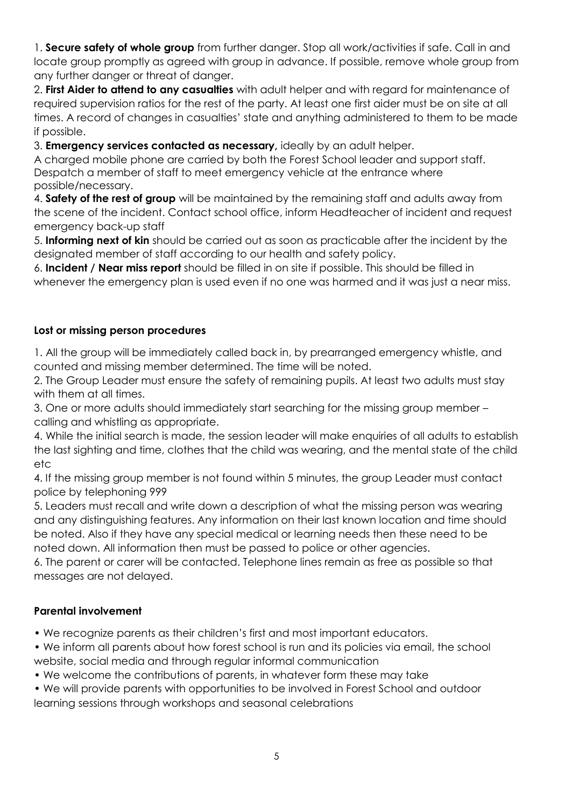1. **Secure safety of whole group** from further danger. Stop all work/activities if safe. Call in and locate group promptly as agreed with group in advance. If possible, remove whole group from any further danger or threat of danger.

2. **First Aider to attend to any casualties** with adult helper and with regard for maintenance of required supervision ratios for the rest of the party. At least one first aider must be on site at all times. A record of changes in casualties' state and anything administered to them to be made if possible.

3. **Emergency services contacted as necessary,** ideally by an adult helper.

A charged mobile phone are carried by both the Forest School leader and support staff. Despatch a member of staff to meet emergency vehicle at the entrance where possible/necessary.

4. **Safety of the rest of group** will be maintained by the remaining staff and adults away from the scene of the incident. Contact school office, inform Headteacher of incident and request emergency back-up staff

5. **Informing next of kin** should be carried out as soon as practicable after the incident by the designated member of staff according to our health and safety policy.

6. **Incident / Near miss report** should be filled in on site if possible. This should be filled in whenever the emergency plan is used even if no one was harmed and it was just a near miss.

#### **Lost or missing person procedures**

1. All the group will be immediately called back in, by prearranged emergency whistle, and counted and missing member determined. The time will be noted.

2. The Group Leader must ensure the safety of remaining pupils. At least two adults must stay with them at all times.

3. One or more adults should immediately start searching for the missing group member – calling and whistling as appropriate.

4. While the initial search is made, the session leader will make enquiries of all adults to establish the last sighting and time, clothes that the child was wearing, and the mental state of the child etc

4. If the missing group member is not found within 5 minutes, the group Leader must contact police by telephoning 999

5. Leaders must recall and write down a description of what the missing person was wearing and any distinguishing features. Any information on their last known location and time should be noted. Also if they have any special medical or learning needs then these need to be noted down. All information then must be passed to police or other agencies.

6. The parent or carer will be contacted. Telephone lines remain as free as possible so that messages are not delayed.

# **Parental involvement**

• We recognize parents as their children's first and most important educators.

- We inform all parents about how forest school is run and its policies via email, the school website, social media and through regular informal communication
- We welcome the contributions of parents, in whatever form these may take
- We will provide parents with opportunities to be involved in Forest School and outdoor learning sessions through workshops and seasonal celebrations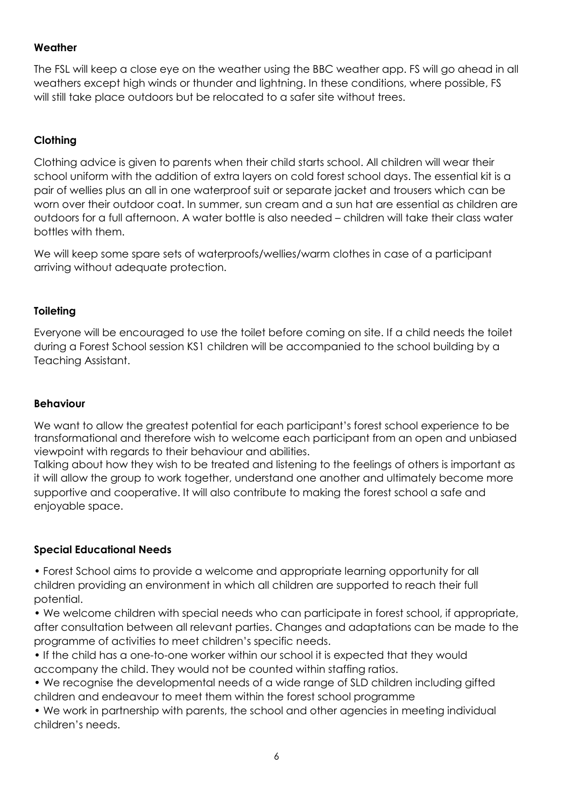### **Weather**

The FSL will keep a close eye on the weather using the BBC weather app. FS will go ahead in all weathers except high winds or thunder and lightning. In these conditions, where possible, FS will still take place outdoors but be relocated to a safer site without trees.

# **Clothing**

Clothing advice is given to parents when their child starts school. All children will wear their school uniform with the addition of extra layers on cold forest school days. The essential kit is a pair of wellies plus an all in one waterproof suit or separate jacket and trousers which can be worn over their outdoor coat. In summer, sun cream and a sun hat are essential as children are outdoors for a full afternoon. A water bottle is also needed – children will take their class water bottles with them.

We will keep some spare sets of waterproofs/wellies/warm clothes in case of a participant arriving without adequate protection.

# **Toileting**

Everyone will be encouraged to use the toilet before coming on site. If a child needs the toilet during a Forest School session KS1 children will be accompanied to the school building by a Teaching Assistant.

#### **Behaviour**

We want to allow the greatest potential for each participant's forest school experience to be transformational and therefore wish to welcome each participant from an open and unbiased viewpoint with regards to their behaviour and abilities.

Talking about how they wish to be treated and listening to the feelings of others is important as it will allow the group to work together, understand one another and ultimately become more supportive and cooperative. It will also contribute to making the forest school a safe and enjoyable space.

# **Special Educational Needs**

• Forest School aims to provide a welcome and appropriate learning opportunity for all children providing an environment in which all children are supported to reach their full potential.

• We welcome children with special needs who can participate in forest school, if appropriate, after consultation between all relevant parties. Changes and adaptations can be made to the programme of activities to meet children's specific needs.

• If the child has a one-to-one worker within our school it is expected that they would accompany the child. They would not be counted within staffing ratios.

• We recognise the developmental needs of a wide range of SLD children including gifted children and endeavour to meet them within the forest school programme

• We work in partnership with parents, the school and other agencies in meeting individual children's needs.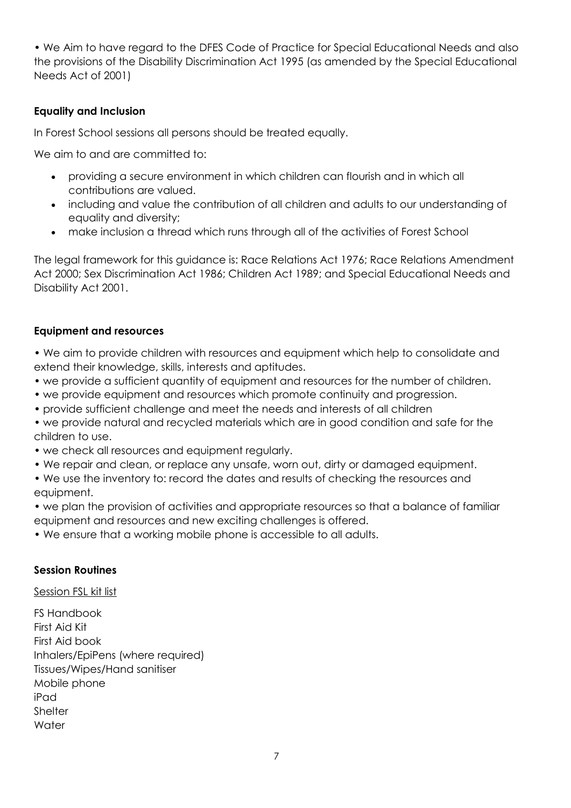• We Aim to have regard to the DFES Code of Practice for Special Educational Needs and also the provisions of the Disability Discrimination Act 1995 (as amended by the Special Educational Needs Act of 2001)

### **Equality and Inclusion**

In Forest School sessions all persons should be treated equally.

We aim to and are committed to:

- providing a secure environment in which children can flourish and in which all contributions are valued.
- including and value the contribution of all children and adults to our understanding of equality and diversity;
- make inclusion a thread which runs through all of the activities of Forest School

The legal framework for this guidance is: Race Relations Act 1976; Race Relations Amendment Act 2000; Sex Discrimination Act 1986; Children Act 1989; and Special Educational Needs and Disability Act 2001.

#### **Equipment and resources**

- We aim to provide children with resources and equipment which help to consolidate and extend their knowledge, skills, interests and aptitudes.
- we provide a sufficient quantity of equipment and resources for the number of children.
- we provide equipment and resources which promote continuity and progression.
- provide sufficient challenge and meet the needs and interests of all children
- we provide natural and recycled materials which are in good condition and safe for the children to use.
- we check all resources and equipment regularly.
- We repair and clean, or replace any unsafe, worn out, dirty or damaged equipment.
- We use the inventory to: record the dates and results of checking the resources and equipment.
- we plan the provision of activities and appropriate resources so that a balance of familiar equipment and resources and new exciting challenges is offered.
- We ensure that a working mobile phone is accessible to all adults.

#### **Session Routines**

Session FSL kit list

FS Handbook First Aid Kit First Aid book Inhalers/EpiPens (where required) Tissues/Wipes/Hand sanitiser Mobile phone iPad **Shelter Water**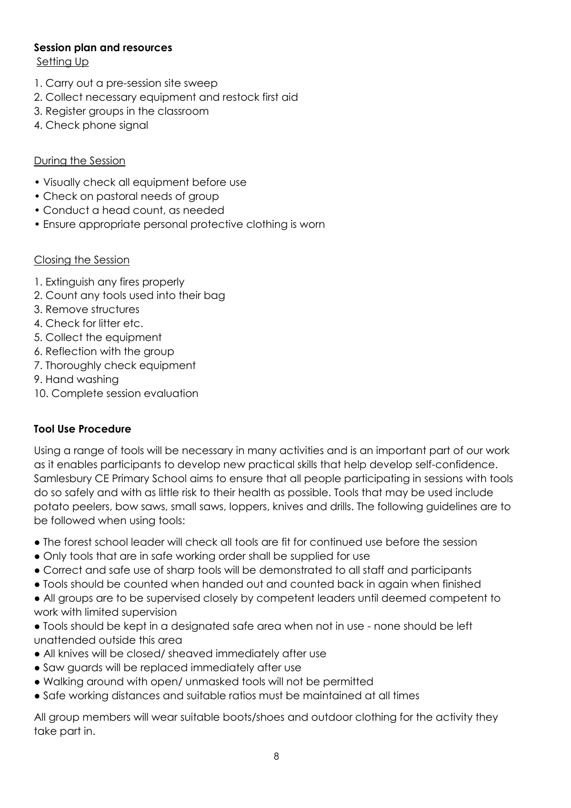#### **Session plan and resources**

Setting Up

- 1. Carry out a pre-session site sweep
- 2. Collect necessary equipment and restock first aid
- 3. Register groups in the classroom
- 4. Check phone signal

#### During the Session

- Visually check all equipment before use
- Check on pastoral needs of group
- Conduct a head count, as needed
- Ensure appropriate personal protective clothing is worn

#### Closing the Session

- 1. Extinguish any fires properly
- 2. Count any tools used into their bag
- 3. Remove structures
- 4. Check for litter etc.
- 5. Collect the equipment
- 6. Reflection with the group
- 7. Thoroughly check equipment
- 9. Hand washing
- 10. Complete session evaluation

# **Tool Use Procedure**

Using a range of tools will be necessary in many activities and is an important part of our work as it enables participants to develop new practical skills that help develop self-confidence. Samlesbury CE Primary School aims to ensure that all people participating in sessions with tools do so safely and with as little risk to their health as possible. Tools that may be used include potato peelers, bow saws, small saws, loppers, knives and drills. The following guidelines are to be followed when using tools:

- The forest school leader will check all tools are fit for continued use before the session
- Only tools that are in safe working order shall be supplied for use
- Correct and safe use of sharp tools will be demonstrated to all staff and participants
- Tools should be counted when handed out and counted back in again when finished
- All groups are to be supervised closely by competent leaders until deemed competent to work with limited supervision
- Tools should be kept in a designated safe area when not in use none should be left unattended outside this area
- All knives will be closed/ sheaved immediately after use
- Saw guards will be replaced immediately after use
- Walking around with open/ unmasked tools will not be permitted
- Safe working distances and suitable ratios must be maintained at all times

All group members will wear suitable boots/shoes and outdoor clothing for the activity they take part in.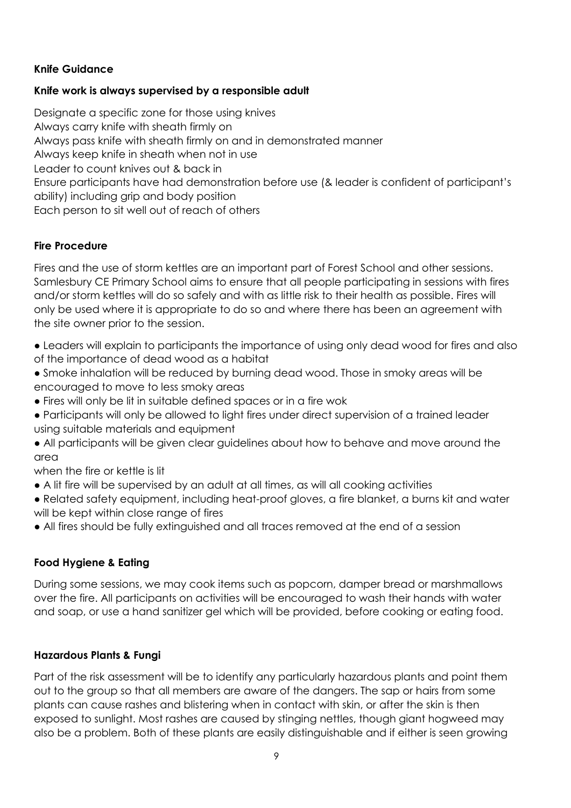# **Knife Guidance**

### **Knife work is always supervised by a responsible adult**

Designate a specific zone for those using knives Always carry knife with sheath firmly on Always pass knife with sheath firmly on and in demonstrated manner Always keep knife in sheath when not in use Leader to count knives out & back in Ensure participants have had demonstration before use (& leader is confident of participant's ability) including grip and body position Each person to sit well out of reach of others

# **Fire Procedure**

Fires and the use of storm kettles are an important part of Forest School and other sessions. Samlesbury CE Primary School aims to ensure that all people participating in sessions with fires and/or storm kettles will do so safely and with as little risk to their health as possible. Fires will only be used where it is appropriate to do so and where there has been an agreement with the site owner prior to the session.

- Leaders will explain to participants the importance of using only dead wood for fires and also of the importance of dead wood as a habitat
- Smoke inhalation will be reduced by burning dead wood. Those in smoky areas will be encouraged to move to less smoky areas
- Fires will only be lit in suitable defined spaces or in a fire wok
- Participants will only be allowed to light fires under direct supervision of a trained leader using suitable materials and equipment
- All participants will be given clear guidelines about how to behave and move around the area
- when the fire or kettle is lit
- A lit fire will be supervised by an adult at all times, as will all cooking activities
- Related safety equipment, including heat-proof gloves, a fire blanket, a burns kit and water will be kept within close range of fires
- All fires should be fully extinguished and all traces removed at the end of a session

# **Food Hygiene & Eating**

During some sessions, we may cook items such as popcorn, damper bread or marshmallows over the fire. All participants on activities will be encouraged to wash their hands with water and soap, or use a hand sanitizer gel which will be provided, before cooking or eating food.

# **Hazardous Plants & Fungi**

Part of the risk assessment will be to identify any particularly hazardous plants and point them out to the group so that all members are aware of the dangers. The sap or hairs from some plants can cause rashes and blistering when in contact with skin, or after the skin is then exposed to sunlight. Most rashes are caused by stinging nettles, though giant hogweed may also be a problem. Both of these plants are easily distinguishable and if either is seen growing